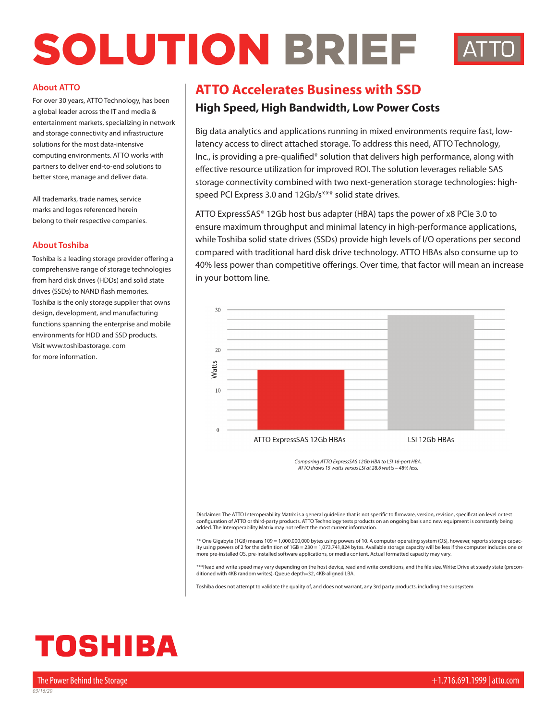# SOLUTION BRIEF



### **About ATTO**

For over 30 years, ATTO Technology, has been a global leader across the IT and media & entertainment markets, specializing in network and storage connectivity and infrastructure solutions for the most data-intensive computing environments. ATTO works with partners to deliver end-to-end solutions to better store, manage and deliver data.

All trademarks, trade names, service marks and logos referenced herein belong to their respective companies.

### **About Toshiba**

Toshiba is a leading storage provider offering a comprehensive range of storage technologies from hard disk drives (HDDs) and solid state drives (SSDs) to NAND flash memories. Toshiba is the only storage supplier that owns design, development, and manufacturing functions spanning the enterprise and mobile environments for HDD and SSD products. Visit www.toshibastorage. com for more information.

# **ATTO Accelerates Business with SSD**

### **High Speed, High Bandwidth, Low Power Costs**

Big data analytics and applications running in mixed environments require fast, lowlatency access to direct attached storage. To address this need, ATTO Technology, Inc., is providing a pre-qualified\* solution that delivers high performance, along with effective resource utilization for improved ROI. The solution leverages reliable SAS storage connectivity combined with two next-generation storage technologies: highspeed PCI Express 3.0 and 12Gb/s\*\*\* solid state drives.

ATTO ExpressSAS® 12Gb host bus adapter (HBA) taps the power of x8 PCIe 3.0 to ensure maximum throughput and minimal latency in high-performance applications, while Toshiba solid state drives (SSDs) provide high levels of I/O operations per second compared with traditional hard disk drive technology. ATTO HBAs also consume up to 40% less power than competitive offerings. Over time, that factor will mean an increase in your bottom line.



*Comparing ATTO ExpressSAS 12Gb HBA to LSI 16-port HBA. ATTO draws 15 watts versus LSI at 28.6 watts – 48% less.*

Disclaimer: The ATTO Interoperability Matrix is a general guideline that is not specific to firmware, version, revision, specification level or test configuration of ATTO or third-party products. ATTO Technology tests products on an ongoing basis and new equipment is constantly being added. The Interoperability Matrix may not reflect the most current information.

\*\* One Gigabyte (1GB) means 109 = 1,000,000,000 bytes using powers of 10. A computer operating system (OS), however, reports storage capacity using powers of 2 for the definition of 1GB = 230 = 1,073,741,824 bytes. Available storage capacity will be less if the computer includes one or more pre-installed OS, pre-installed software applications, or media content. Actual formatted capacity may vary.

\*\*\*Read and write speed may vary depending on the host device, read and write conditions, and the file size. Write: Drive at steady state (preconditioned with 4KB random writes), Queue depth=32, 4KB-aligned LBA.

Toshiba does not attempt to validate the quality of, and does not warrant, any 3rd party products, including the subsystem

# TOSHIBA

*03/16/20*